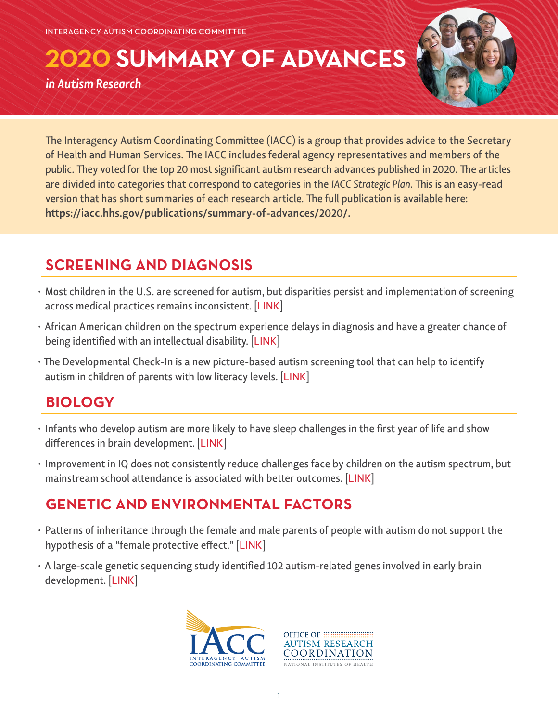**2020 SUMMARY OF ADVANCES**

*in Autism Research*



The Interagency Autism Coordinating Committee (IACC) is a group that provides advice to the Secretary of Health and Human Services. The IACC includes federal agency representatives and members of the public. They voted for the top 20 most significant autism research advances published in 2020. The articles are divided into categories that correspond to categories in the *IACC Strategic Plan*. This is an easy-read version that has short summaries of each research article. The full publication is available here: **[https://iacc.hhs.gov/publications/summary-of-advances/2020/.](https://iacc.hhs.gov/publications/summary-of-advances/2020/)**

# **SCREENING AND DIAGNOSIS**

- Most children in the U.S. are screened for autism, but disparities persist and implementation of screening across medical practices remains inconsistent. [\[LINK](https://pubmed.ncbi.nlm.nih.gov/32632024/)]
- African American children on the spectrum experience delays in diagnosis and have a greater chance of being identified with an intellectual disability. [[LINK\]](https://pubmed.ncbi.nlm.nih.gov/32839243/)
- The Developmental Check-In is a new picture-based autism screening tool that can help to identify autism in children of parents with low literacy levels. [\[LINK](https://pubmed.ncbi.nlm.nih.gov/33303635/)]

# **BIOLOGY**

- Infants who develop autism are more likely to have sleep challenges in the first year of life and show differences in brain development. [\[LINK](https://pubmed.ncbi.nlm.nih.gov/32375538/)]
- Improvement in IQ does not consistently reduce challenges face by children on the autism spectrum, but mainstream school attendance is associated with better outcomes. [\[LINK](https://pubmed.ncbi.nlm.nih.gov/31863881/)]

# **GENETIC AND ENVIRONMENTAL FACTORS**

- Patterns of inheritance through the female and male parents of people with autism do not support the hypothesis of a "female protective effect." [[LINK\]](https://pubmed.ncbi.nlm.nih.gov/32430199/)
- A large-scale genetic sequencing study identified 102 autism-related genes involved in early brain development. [[LINK\]](https://pubmed.ncbi.nlm.nih.gov/31981491/)